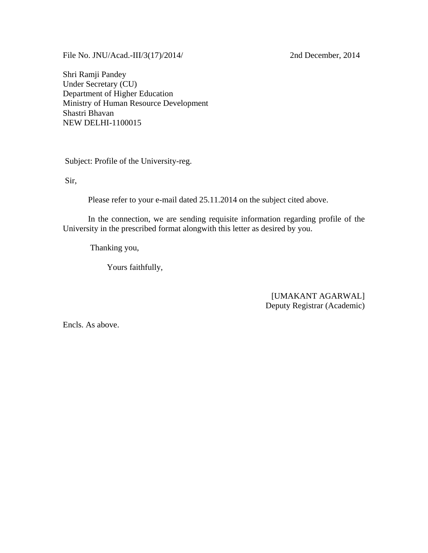File No. JNU/Acad.-III/3(17)/2014/ 2nd December, 2014

Shri Ramji Pandey Under Secretary (CU) Department of Higher Education Ministry of Human Resource Development Shastri Bhavan NEW DELHI-1100015

Subject: Profile of the University-reg.

Sir,

Please refer to your e-mail dated 25.11.2014 on the subject cited above.

 In the connection, we are sending requisite information regarding profile of the University in the prescribed format alongwith this letter as desired by you.

Thanking you,

Yours faithfully,

[UMAKANT AGARWAL] Deputy Registrar (Academic)

Encls. As above.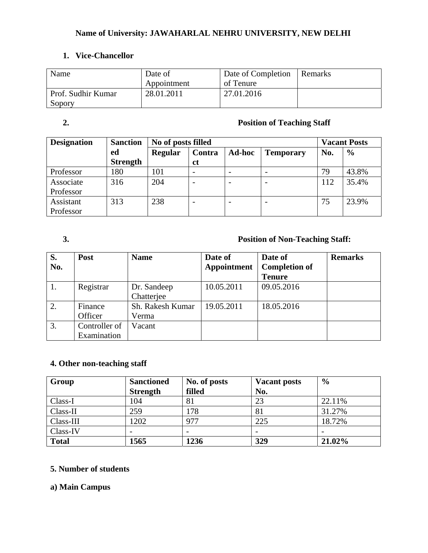## **Name of University: JAWAHARLAL NEHRU UNIVERSITY, NEW DELHI**

## **1. Vice-Chancellor**

| Name                         | Date of<br>Appointment | Date of Completion<br>of Tenure | Remarks |
|------------------------------|------------------------|---------------------------------|---------|
| Prof. Sudhir Kumar<br>Sopory | 28.01.2011             | 27.01.2016                      |         |

#### **2. Position of Teaching Staff**

| <b>Designation</b> | <b>Sanction</b> |                | No of posts filled |               |                  |     |               |
|--------------------|-----------------|----------------|--------------------|---------------|------------------|-----|---------------|
|                    | ed              | <b>Regular</b> | Contra             | <b>Ad-hoc</b> | <b>Temporary</b> | No. | $\frac{6}{9}$ |
|                    | <b>Strength</b> |                | ct                 |               |                  |     |               |
| Professor          | 180             | 101            |                    |               |                  | 79  | 43.8%         |
| Associate          | 316             | 204            |                    |               |                  | 112 | 35.4%         |
| Professor          |                 |                |                    |               |                  |     |               |
| Assistant          | 313             | 238            |                    |               |                  | 75  | 23.9%         |
| Professor          |                 |                |                    |               |                  |     |               |

## **3. Position of Non-Teaching Staff:**

| S.<br>No. | Post                         | <b>Name</b>               | Date of<br>Appointment | Date of<br><b>Completion of</b><br><b>Tenure</b> | <b>Remarks</b> |
|-----------|------------------------------|---------------------------|------------------------|--------------------------------------------------|----------------|
|           | Registrar                    | Dr. Sandeep<br>Chatterjee | 10.05.2011             | 09.05.2016                                       |                |
| 2.        | Finance<br>Officer           | Sh. Rakesh Kumar<br>Verma | 19.05.2011             | 18.05.2016                                       |                |
| 3.        | Controller of<br>Examination | Vacant                    |                        |                                                  |                |

## **4. Other non-teaching staff**

| Group        | <b>Sanctioned</b> | No. of posts | <b>Vacant posts</b> | $\frac{0}{0}$ |
|--------------|-------------------|--------------|---------------------|---------------|
|              | <b>Strength</b>   | filled       | No.                 |               |
| Class-I      | 104               | 81           | 23                  | 22.11%        |
| Class-II     | 259               | 178          | 81                  | 31.27%        |
| Class-III    | 1202              | 977          | 225                 | 18.72%        |
| Class-IV     |                   |              |                     |               |
| <b>Total</b> | 1565              | 1236         | 329                 | 21.02%        |

#### **5. Number of students**

## **a) Main Campus**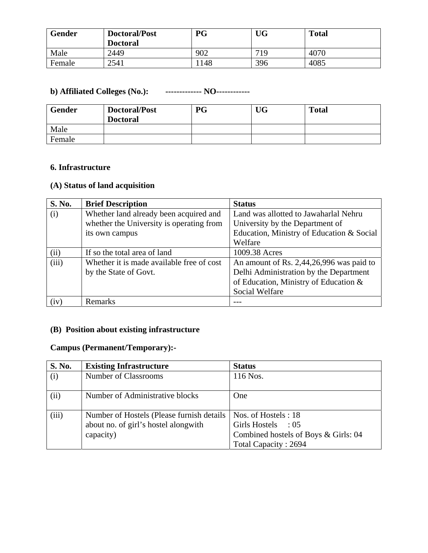| <b>Gender</b> | Doctoral/Post<br><b>Doctoral</b> | <b>PG</b> | <b>UG</b> | <b>Total</b> |
|---------------|----------------------------------|-----------|-----------|--------------|
| Male          | 2449                             | 902       | 719       | 4070         |
| Female        | 2541                             | 148       | 396       | 4085         |

#### **b) Affiliated Colleges (No.): ------------- NO------------**

| <b>Gender</b> | Doctoral/Post<br><b>Doctoral</b> | <b>PG</b> | UG | <b>Total</b> |
|---------------|----------------------------------|-----------|----|--------------|
| Male          |                                  |           |    |              |
| Female        |                                  |           |    |              |

#### **6. Infrastructure**

## **(A) Status of land acquisition**

| <b>S. No.</b> | <b>Brief Description</b>                  | <b>Status</b>                             |
|---------------|-------------------------------------------|-------------------------------------------|
| (i)           | Whether land already been acquired and    | Land was allotted to Jawaharlal Nehru     |
|               | whether the University is operating from  | University by the Department of           |
|               | its own campus                            | Education, Ministry of Education & Social |
|               |                                           | Welfare                                   |
| (ii)          | If so the total area of land              | 1009.38 Acres                             |
| (iii)         | Whether it is made available free of cost | An amount of Rs. 2,44,26,996 was paid to  |
|               | by the State of Govt.                     | Delhi Administration by the Department    |
|               |                                           | of Education, Ministry of Education &     |
|               |                                           | Social Welfare                            |
| (iv)          | Remarks                                   |                                           |

#### **(B) Position about existing infrastructure**

## **Campus (Permanent/Temporary):-**

| S. No. | <b>Existing Infrastructure</b>                                                                  | <b>Status</b>                                                                                             |
|--------|-------------------------------------------------------------------------------------------------|-----------------------------------------------------------------------------------------------------------|
| (i)    | Number of Classrooms                                                                            | 116 Nos.                                                                                                  |
| (ii)   | Number of Administrative blocks                                                                 | <b>One</b>                                                                                                |
| (iii)  | Number of Hostels (Please furnish details)<br>about no. of girl's hostel alongwith<br>capacity) | Nos. of Hostels: 18<br>Girls Hostels : 05<br>Combined hostels of Boys & Girls: 04<br>Total Capacity: 2694 |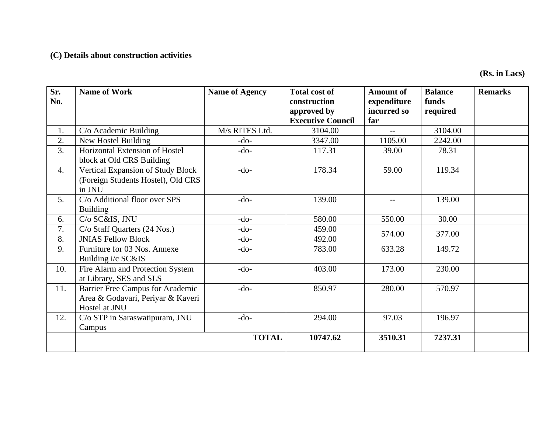## **(C) Details about construction activities**

**(Rs. in Lacs)** 

| Sr.<br>No. | <b>Name of Work</b>                                                                    | <b>Name of Agency</b> | <b>Total cost of</b><br>construction    | <b>Amount of</b><br>expenditure | <b>Balance</b><br>funds | <b>Remarks</b> |
|------------|----------------------------------------------------------------------------------------|-----------------------|-----------------------------------------|---------------------------------|-------------------------|----------------|
|            |                                                                                        |                       | approved by<br><b>Executive Council</b> | incurred so<br>far              | required                |                |
|            |                                                                                        |                       |                                         |                                 |                         |                |
| 1.         | $C/O$ Academic Building                                                                | M/s RITES Ltd.        | 3104.00                                 |                                 | 3104.00                 |                |
| 2.         | New Hostel Building                                                                    | $-do-$                | 3347.00                                 | 1105.00                         | 2242.00                 |                |
| 3.         | Horizontal Extension of Hostel<br>block at Old CRS Building                            | $-do-$                | 117.31                                  | 39.00                           | 78.31                   |                |
| 4.         | Vertical Expansion of Study Block<br>(Foreign Students Hostel), Old CRS<br>in JNU      | $-do-$                | 178.34                                  | 59.00                           | 119.34                  |                |
| 5.         | C/o Additional floor over SPS<br><b>Building</b>                                       | $-do-$                | 139.00                                  | $\overline{\phantom{a}}$        | 139.00                  |                |
| 6.         | C/o SC&IS, JNU                                                                         | $-do-$                | 580.00                                  | 550.00                          | 30.00                   |                |
| 7.         | C/o Staff Quarters (24 Nos.)                                                           | $-do-$                | 459.00                                  |                                 |                         |                |
| 8.         | <b>JNIAS Fellow Block</b>                                                              | $-do-$                | 492.00                                  | 574.00                          | 377.00                  |                |
| 9.         | Furniture for 03 Nos. Annexe<br>Building i/c SC&IS                                     | $-do-$                | 783.00                                  | 633.28                          | 149.72                  |                |
| 10.        | Fire Alarm and Protection System<br>at Library, SES and SLS                            | $-do-$                | 403.00                                  | 173.00                          | 230.00                  |                |
| 11.        | Barrier Free Campus for Academic<br>Area & Godavari, Periyar & Kaveri<br>Hostel at JNU | $-do-$                | 850.97                                  | 280.00                          | 570.97                  |                |
| 12.        | C/o STP in Saraswatipuram, JNU<br>Campus                                               | $-do-$                | 294.00                                  | 97.03                           | 196.97                  |                |
|            |                                                                                        | <b>TOTAL</b>          | 10747.62                                | 3510.31                         | 7237.31                 |                |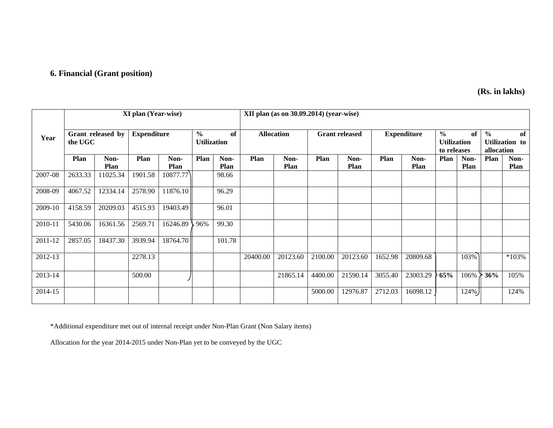## **6. Financial (Grant position)**

 **(Rs. in lakhs)** 

|         | <b>XI</b> plan (Year-wise) |                   |                    |              |                                     |              | $XII$ plan (as on 30.09.2014) (year-wise) |                     |         |                       |         |                     |                                                    |              |                             |                      |
|---------|----------------------------|-------------------|--------------------|--------------|-------------------------------------|--------------|-------------------------------------------|---------------------|---------|-----------------------|---------|---------------------|----------------------------------------------------|--------------|-----------------------------|----------------------|
| Year    | the UGC                    | Grant released by | <b>Expenditure</b> |              | $\frac{0}{0}$<br><b>Utilization</b> | of           |                                           | <b>Allocation</b>   |         | <b>Grant released</b> |         | <b>Expenditure</b>  | $\frac{0}{0}$<br><b>Utilization</b><br>to releases | of           | $\frac{0}{0}$<br>allocation | of<br>Utilization to |
|         | Plan                       | Non-<br>Plan      | Plan               | Non-<br>Plan | Plan                                | Non-<br>Plan | Plan                                      | Non-<br><b>Plan</b> | Plan    | Non-<br><b>Plan</b>   | Plan    | Non-<br><b>Plan</b> | Plan                                               | Non-<br>Plan | <b>Plan</b>                 | Non-<br><b>Plan</b>  |
| 2007-08 | 2633.33                    | 11025.34          | 1901.58            | 10877.77     |                                     | 98.66        |                                           |                     |         |                       |         |                     |                                                    |              |                             |                      |
| 2008-09 | 4067.52                    | 12334.14          | 2578.90            | 11876.10     |                                     | 96.29        |                                           |                     |         |                       |         |                     |                                                    |              |                             |                      |
| 2009-10 | 4158.59                    | 20209.03          | 4515.93            | 19403.49     |                                     | 96.01        |                                           |                     |         |                       |         |                     |                                                    |              |                             |                      |
| 2010-11 | 5430.06                    | 16361.56          | 2569.71            | 16246.89     | 96%                                 | 99.30        |                                           |                     |         |                       |         |                     |                                                    |              |                             |                      |
| 2011-12 | 2857.05                    | 18437.30          | 3939.94            | 18764.70     |                                     | 101.78       |                                           |                     |         |                       |         |                     |                                                    |              |                             |                      |
| 2012-13 |                            |                   | 2278.13            |              |                                     |              | 20400.00                                  | 20123.60            | 2100.00 | 20123.60              | 1652.98 | 20809.68            |                                                    | 103%         |                             | $*103%$              |
| 2013-14 |                            |                   | 500.00             |              |                                     |              |                                           | 21865.14            | 4400.00 | 21590.14              | 3055.40 | 23003.29            | 65%                                                | 106%         | 36%                         | 105%                 |
| 2014-15 |                            |                   |                    |              |                                     |              |                                           |                     | 5000.00 | 12976.87              | 2712.03 | 16098.12            |                                                    | $124\%$      |                             | 124%                 |

\*Additional expenditure met out of internal receipt under Non-Plan Grant (Non Salary items)

Allocation for the year 2014-2015 under Non-Plan yet to be conveyed by the UGC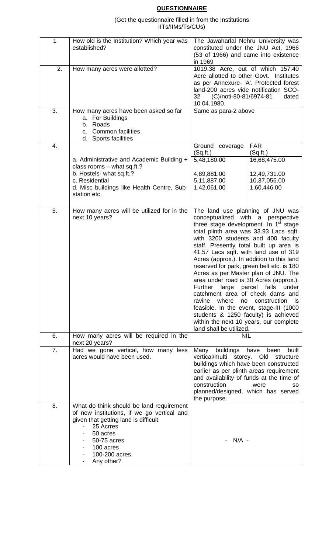# **QUESTIONNAIRE**

(Get the questionnaire filled in from the Institutions IITs/IIMs/Ts/CUs)

| 1                | How old is the Institution? Which year was<br>established?                                                                                                                                                                                                                                                                                                       | The Jawaharlal Nehru University was<br>constituted under the JNU Act, 1966<br>(53 of 1966) and came into existence<br>in 1969                                                                                                                                                                                                                                                                                                                                                                                                                                                                                                                                                                                        |                                                                                        |  |
|------------------|------------------------------------------------------------------------------------------------------------------------------------------------------------------------------------------------------------------------------------------------------------------------------------------------------------------------------------------------------------------|----------------------------------------------------------------------------------------------------------------------------------------------------------------------------------------------------------------------------------------------------------------------------------------------------------------------------------------------------------------------------------------------------------------------------------------------------------------------------------------------------------------------------------------------------------------------------------------------------------------------------------------------------------------------------------------------------------------------|----------------------------------------------------------------------------------------|--|
| 2.               | 1019.38 Acre, out of which 157.40<br>How many acres were allotted?<br>Acre allotted to other Govt. Institutes<br>as per Annexure- 'A'. Protected forest<br>land-200 acres vide notification SCO-<br>32<br>(C)/noti-80-81/6974-81<br>10.04.1980.                                                                                                                  |                                                                                                                                                                                                                                                                                                                                                                                                                                                                                                                                                                                                                                                                                                                      |                                                                                        |  |
| 3.               | How many acres have been asked so far<br>a. For Buildings<br>Roads<br>b.<br>c. Common facilities<br>d. Sports facilities                                                                                                                                                                                                                                         | Same as para-2 above                                                                                                                                                                                                                                                                                                                                                                                                                                                                                                                                                                                                                                                                                                 |                                                                                        |  |
| 4.               | a. Administrative and Academic Building +<br>class rooms - what sq.ft.?<br>b. Hostels- what sq.ft.?<br>c. Residential<br>d. Misc buildings like Health Centre, Sub-<br>station etc.                                                                                                                                                                              | Ground coverage<br>(Sq.fit.)<br>5,48,180.00<br>4,89,881.00<br>5,11,887.00<br>1,42,061.00                                                                                                                                                                                                                                                                                                                                                                                                                                                                                                                                                                                                                             | <b>FAR</b><br>(Sq.fit.)<br>16,68,475.00<br>12,49,731.00<br>10,37,056.00<br>1,60,446.00 |  |
| 5.               | How many acres will be utilized for in the<br>next 10 years?                                                                                                                                                                                                                                                                                                     | The land use planning of JNU was<br>conceptualized with a perspective<br>three stage development. In 1 <sup>st</sup> stage<br>total plinth area was 33.93 Lacs sqft.<br>with 3200 students and 400 faculty<br>staff. Presently total built up area is<br>41.57 Lacs sqft. with land use of 319<br>Acres (approx.). In addition to this land<br>reserved for park, green belt etc. is 180<br>Acres as per Master plan of JNU. The<br>area under road is 30 Acres (approx.).<br>Further large parcel falls<br>catchment area of check dams and<br>ravine where<br>feasible. In the event, stage-III (1000<br>students & 1250 faculty) is achieved<br>within the next 10 years, our complete<br>land shall be utilized. | under<br>no construction is                                                            |  |
| 6.               | How many acres will be required in the<br>next 20 years?                                                                                                                                                                                                                                                                                                         | <b>NIL</b>                                                                                                                                                                                                                                                                                                                                                                                                                                                                                                                                                                                                                                                                                                           |                                                                                        |  |
| $\overline{7}$ . | Had we gone vertical, how many less<br>Many<br>buildings<br>have<br>been<br>acres would have been used.<br>vertical/multi storey. Old<br>structure<br>buildings which have been constructed<br>earlier as per plinth areas requirement<br>and availability of funds at the time of<br>construction<br>were<br>planned/designed, which has served<br>the purpose. |                                                                                                                                                                                                                                                                                                                                                                                                                                                                                                                                                                                                                                                                                                                      |                                                                                        |  |
| 8.               | What do think should be land requirement<br>of new institutions, if we go vertical and<br>given that getting land is difficult:<br>25 Acrres<br>50 acres<br>50-75 acres<br>100 acres<br>100-200 acres<br>Any other?                                                                                                                                              | $N/A$ -                                                                                                                                                                                                                                                                                                                                                                                                                                                                                                                                                                                                                                                                                                              |                                                                                        |  |